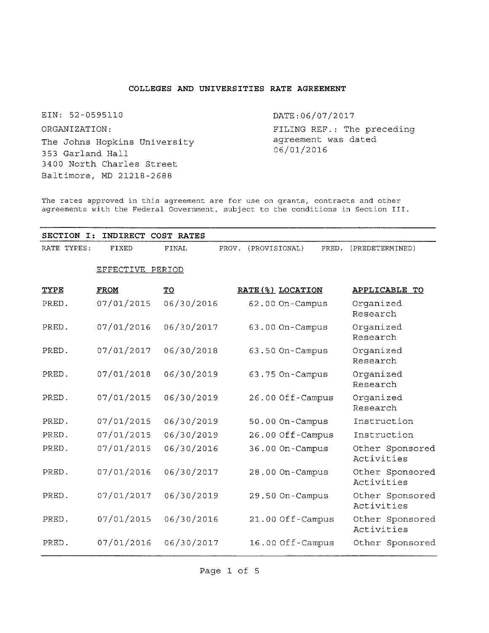## **COLLEGES AND UNIVERSITIES RATE AGREEMENT**

EIN: 52-0595110 DATE:06/07/2017

The Johns Hopkins University **agreement** was dated<br>06/01/2016 353 Garland Hall 3400 North Charles Street Baltimore, MD 21218-2688

ORGANIZATION: FILING REF.: The preceding

The rates approved in this agreement are for use on grants, contracts and other agreements with the Federal Government, subject to the conditions in Section III.

**SECTION I: INDIRECT COST RATES** RATE TYPES: FIXED FINAL PROV. (PROVISIONAL) EFFECTIVE PERIOD **TYPE** PRED. **FROM** 07/01/2015 **TO** 06/30/2016 **RATE(%) LOCATION** 62.00 On-Campus **APPLICABLE TO** Organized Research PRED. 07/01/2016 06/30/2017 63.00 On-Campus Organized Research PRED. 07/01/2017 06/30/2018 63.50 On-Campus Organized Research PRED. 07/01/2018 06/30/2019 63.75 On-Campus Organized Research PRED. 07/01/2015 06/30/2019 26.00 Off-Campus Organized Research PRED. PRED. PRED. 07/01/2015 07/01/2015 07/01/2015 06/30/2019 06/30/2019 06/30/2016 50.00 On-Campus 26.00 Off- Campus 36.00 On-Campus Instruction Instruction Other Sponsored Activities PRED. 07/01/2016 06/30/2017 28.00 On-Campus Other Sponsored Activities PRED. 07/01/2017 06/30/2019 29.50 On-Campus Other Sponsored Activities PRED. 07/01/2015 06/30/2016 21.00 Off-Campus Other Sponsored Activities PRED. 07/01/2016 06/30/2017 16.00 Off-Campus Other Sponsored PRED. (PREDETERMINED)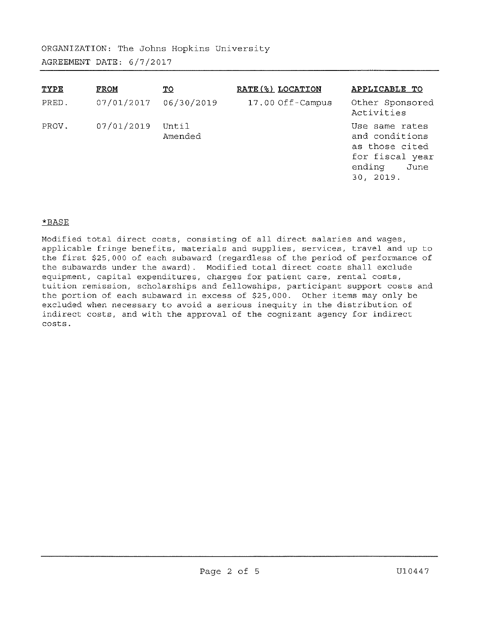| <b>TYPE</b> | FROM       | <u>TO</u>        | RATE (%) LOCATION | APPLICABLE TO                                                                                        |
|-------------|------------|------------------|-------------------|------------------------------------------------------------------------------------------------------|
| PRED.       | 07/01/2017 | 06/30/2019       | 17.00 Off-Campus  | Other Sponsored<br>Activities                                                                        |
| PROV.       | 07/01/2019 | Until<br>Amended |                   | Use same rates<br>and conditions<br>as those cited<br>for fiscal year<br>ending<br>June<br>30, 2019. |

## \*BASE

Modified total direct costs, consisting of all direct salaries and wages, applicable fringe benefits, materials and supplies, services, travel and up to the first \$25, 000 of each subaward (regardless of the period of performance of the subawards under the award). Modified total direct costs shall exclude equipment, capital expenditures, charges for patient care, rental costs, tuition remission, scholarships and fellowships, participant support costs and the portion of each subaward in excess of \$25, 000. Other items may only be excluded when necessary to avoid a serious inequity in the distribution of indirect costs, and with the approval of the cognizant agency for indirect costs.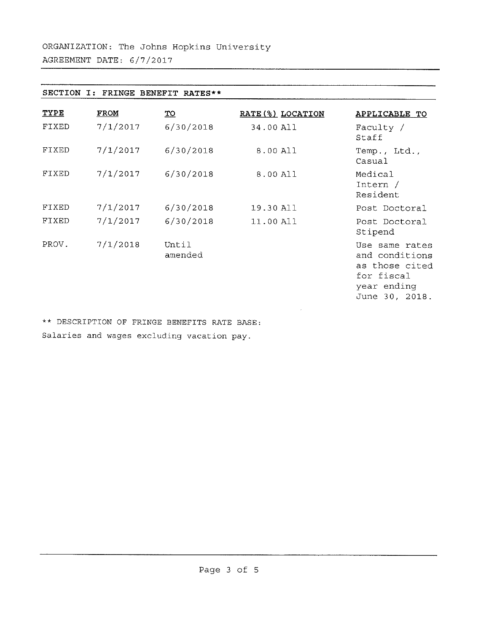AGREEMENT DATE: 6/7/2017

| SECTION<br>FRINGE BENEFIT RATES**<br>$T$ : |             |                         |                   |                                                                                                   |  |
|--------------------------------------------|-------------|-------------------------|-------------------|---------------------------------------------------------------------------------------------------|--|
| <b>TYPE</b>                                | <b>FROM</b> | $\underline{\text{TO}}$ | RATE (%) LOCATION | <b>APPLICABLE TO</b>                                                                              |  |
| FIXED                                      | 7/1/2017    | 6/30/2018               | 34.00 All         | Faculty /<br>Staff                                                                                |  |
| FIXED                                      | 7/1/2017    | 6/30/2018               | 8.00 All          | Temp., Ltd.,<br>Casual                                                                            |  |
| FIXED                                      | 7/1/2017    | 6/30/2018               | 8.00 All          | Medical<br>Intern $/$<br>Resident                                                                 |  |
| FIXED                                      | 7/1/2017    | 6/30/2018               | 19.30 All         | Post Doctoral                                                                                     |  |
| FIXED                                      | 7/1/2017    | 6/30/2018               | 11.00 All         | Post Doctoral<br>Stipend                                                                          |  |
| PROV.                                      | 7/1/2018    | Until<br>amended        |                   | Use same rates<br>and conditions<br>as those cited<br>for fiscal<br>year ending<br>June 30, 2018. |  |

\*\* DESCRIPTION OF FRINGE BENEFITS RATE BASE:Salaries and wages excluding vacation pay.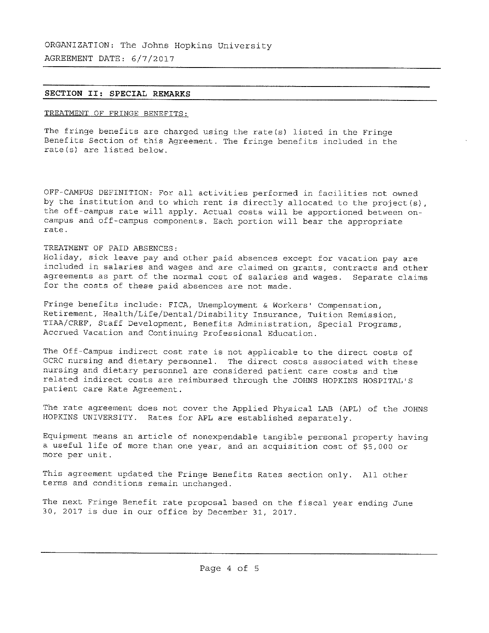## **SECTION II: SPECIAL REMARKS**

### TREATMENT OF FRINGE BENEFITS:

The fringe benefits are charged using the rate(s) listed in the Fringe Benefits Section of this Agreement. The fringe benefits included in the rate(s) are listed below.

OFF-CAMPUS DEFINITION: For all activities performed in facilities not owned by the institution and to which rent is directly allocated to the project(s), the off-campus rate will apply. Actual costs will be apportioned between oncampus and off-campus components. Each portion will bear the appropriate rate.

## TREATMENT OF PAID ABSENCES:

Holiday, sick leave pay and other paid absences except for vacation pay are included in salaries and wages and are claimed on grants, contracts and other agreements as part of the normal cost of salaries and wages. Separate claims for the costs of these paid absences are not made.

Fringe benefits include: FICA, Unemployment & Workers' Compensation, Retirement, Health/Life/Dental/Disability Insurance, Tuition Remission, TIAA/CREF, Staff Development, Benefits Administration, Special Programs, Accrued Vacation and Continuing Professional Education.

The Off-Campus indirect cost rate is not applicable to the direct costs of GCRC nursing and dietary personnel. The direct costs associated with these nursing and dietary personnel are considered patient care costs and the related indirect costs are reimbursed through the JOHNS HOPKINS HOSPITAL'<sup>S</sup> patient care Rate Agreement.

The rate agreement does not cover the Applied Physical LAB (APL) of the JOHNS HOPKINS UNIVERSITY. Rates for APL are established separately.

Equipment means an article of nonexpendable tangible personal property having <sup>a</sup> useful life of more than one year, and an acquisition cost of \$5, <sup>000</sup> or more per unit.

This agreement updated the Fringe Benefits Rates section only, All other terms and conditions remain unchanged.

The next Fringe Benefit rate proposal based on the fiscal year ending June <sup>30</sup>, <sup>2017</sup> is due in our office by December <sup>31</sup>, <sup>2017</sup>.